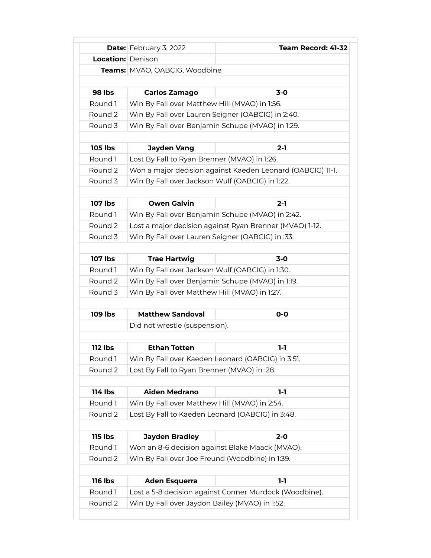|                   | Date: February 3, 2022                           | Team Record: 41-32                                         |
|-------------------|--------------------------------------------------|------------------------------------------------------------|
| Location: Denison |                                                  |                                                            |
|                   | Teams: MVAO, OABCIG, Woodbine                    |                                                            |
|                   |                                                  |                                                            |
| <b>98 lbs</b>     | <b>Carlos Zamago</b>                             | $3-0$                                                      |
| Round 1           | Win By Fall over Matthew Hill (MVAO) in 1:56.    |                                                            |
| Round 2           |                                                  | Win By Fall over Lauren Seigner (OABCIG) in 2:40.          |
| Round 3           |                                                  | Win By Fall over Benjamin Schupe (MVAO) in 1:29.           |
| <b>105 lbs</b>    | <b>Jayden Vang</b>                               | $2 - 1$                                                    |
| Round 1           | Lost By Fall to Ryan Brenner (MVAO) in 1:26.     |                                                            |
| Round 2           |                                                  | Won a major decision against Kaeden Leonard (OABCIG) 11-1. |
| Round 3           | Win By Fall over Jackson Wulf (OABCIG) in 1:22.  |                                                            |
|                   |                                                  |                                                            |
| <b>107 lbs</b>    | <b>Owen Galvin</b>                               | $2 - 1$                                                    |
| Round 1           |                                                  | Win By Fall over Benjamin Schupe (MVAO) in 2:42.           |
| Round 2           |                                                  | Lost a major decision against Ryan Brenner (MVAO) 1-12.    |
| Round 3           | Win By Fall over Lauren Seigner (OABCIG) in :33. |                                                            |
|                   |                                                  |                                                            |
| <b>107 lbs</b>    | <b>Trae Hartwig</b>                              | $3-0$                                                      |
| Round 1           | Win By Fall over Jackson Wulf (OABCIG) in 1:30.  |                                                            |
| Round 2           | Win By Fall over Benjamin Schupe (MVAO) in 1:19. |                                                            |
| Round 3           | Win By Fall over Matthew Hill (MVAO) in 1:27.    |                                                            |
|                   |                                                  |                                                            |
| <b>109 lbs</b>    | <b>Matthew Sandoval</b>                          | $O-O$                                                      |
|                   | Did not wrestle (suspension).                    |                                                            |
|                   |                                                  |                                                            |
| <b>112 lbs</b>    | <b>Ethan Totten</b>                              | $1-1$                                                      |
| Round 1           |                                                  | Win By Fall over Kaeden Leonard (OABCIG) in 3:51.          |
| Round 2           | Lost By Fall to Ryan Brenner (MVAO) in :28.      |                                                            |
|                   |                                                  |                                                            |
| <b>114 lbs</b>    | <b>Aiden Medrano</b>                             | $1-1$                                                      |
| Round 1           | Win By Fall over Matthew Hill (MVAO) in 2:54.    |                                                            |
| Round 2           | Lost By Fall to Kaeden Leonard (OABCIG) in 3:48. |                                                            |
|                   |                                                  |                                                            |
| <b>115 lbs</b>    | <b>Jayden Bradley</b>                            | $2 - 0$                                                    |
| Round 1           |                                                  | Won an 8-6 decision against Blake Maack (MVAO).            |
| Round 2           | Win By Fall over Joe Freund (Woodbine) in 1:39.  |                                                            |
|                   |                                                  |                                                            |
| <b>116 lbs</b>    | <b>Aden Esquerra</b>                             | 1-1                                                        |
| Round 1           |                                                  | Lost a 5-8 decision against Conner Murdock (Woodbine).     |
| Round 2           | Win By Fall over Jaydon Bailey (MVAO) in 1:52.   |                                                            |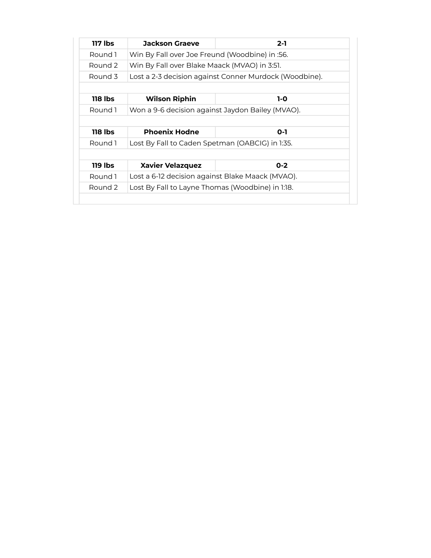| 117 lbs | <b>Jackson Graeve</b>                                  | $2 - 1$                                          |
|---------|--------------------------------------------------------|--------------------------------------------------|
| Round 1 | Win By Fall over Joe Freund (Woodbine) in :56.         |                                                  |
| Round 2 | Win By Fall over Blake Maack (MVAO) in 3:51.           |                                                  |
| Round 3 | Lost a 2-3 decision against Conner Murdock (Woodbine). |                                                  |
|         |                                                        |                                                  |
| 118 lbs | <b>Wilson Riphin</b>                                   | 1-0                                              |
| Round 1 |                                                        | Won a 9-6 decision against Jaydon Bailey (MVAO). |
|         |                                                        |                                                  |
| 118 lbs | <b>Phoenix Hodne</b>                                   | O-1                                              |
| Round 1 | Lost By Fall to Caden Spetman (OABCIG) in 1:35.        |                                                  |
|         |                                                        |                                                  |
|         |                                                        |                                                  |
| 119 lbs | <b>Xavier Velazquez</b>                                | $0 - 2$                                          |
| Round 1 | Lost a 6-12 decision against Blake Maack (MVAO).       |                                                  |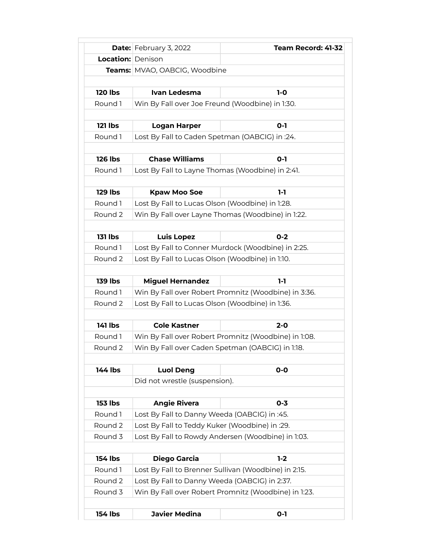|                          | <b>Date:</b> February 3, 2022                        | Team Record: 41-32                                   |
|--------------------------|------------------------------------------------------|------------------------------------------------------|
| <b>Location: Denison</b> |                                                      |                                                      |
|                          | <b>Teams:</b> MVAO, OABCIG, Woodbine                 |                                                      |
|                          |                                                      |                                                      |
| <b>120 lbs</b>           | Ivan Ledesma                                         | $1-0$                                                |
| Round 1                  | Win By Fall over Joe Freund (Woodbine) in 1:30.      |                                                      |
| <b>121 lbs</b>           | <b>Logan Harper</b>                                  | $O - 1$                                              |
| Round 1                  | Lost By Fall to Caden Spetman (OABCIG) in :24.       |                                                      |
|                          |                                                      |                                                      |
| <b>126 lbs</b>           | <b>Chase Williams</b>                                | $0 - 1$                                              |
| Round 1                  | Lost By Fall to Layne Thomas (Woodbine) in 2:41.     |                                                      |
| <b>129 lbs</b>           | <b>Kpaw Moo Soe</b>                                  | $1-1$                                                |
| Round 1                  | Lost By Fall to Lucas Olson (Woodbine) in 1:28.      |                                                      |
| Round 2                  |                                                      | Win By Fall over Layne Thomas (Woodbine) in 1:22.    |
| <b>131 lbs</b>           | <b>Luis Lopez</b>                                    | $0 - 2$                                              |
| Round 1                  |                                                      | Lost By Fall to Conner Murdock (Woodbine) in 2:25.   |
| Round 2                  | Lost By Fall to Lucas Olson (Woodbine) in 1:10.      |                                                      |
|                          |                                                      |                                                      |
| <b>139 lbs</b>           | <b>Miguel Hernandez</b>                              | $1-1$                                                |
| Round 1                  |                                                      | Win By Fall over Robert Promnitz (Woodbine) in 3:36. |
| Round 2                  | Lost By Fall to Lucas Olson (Woodbine) in 1:36.      |                                                      |
| <b>141 lbs</b>           | <b>Cole Kastner</b>                                  | $2 - 0$                                              |
| Round 1                  |                                                      | Win By Fall over Robert Promnitz (Woodbine) in 1:08. |
| Round 2                  | Win By Fall over Caden Spetman (OABCIG) in 1:18.     |                                                      |
| 144 lbs                  | <b>Luol Deng</b>                                     | $O-O$                                                |
|                          | Did not wrestle (suspension).                        |                                                      |
|                          |                                                      |                                                      |
| <b>153 lbs</b>           | <b>Angie Rivera</b>                                  | $0 - 3$                                              |
| Round 1                  | Lost By Fall to Danny Weeda (OABCIG) in :45.         |                                                      |
| Round 2                  | Lost By Fall to Teddy Kuker (Woodbine) in :29.       |                                                      |
| Round 3                  |                                                      | Lost By Fall to Rowdy Andersen (Woodbine) in 1:03.   |
| 154 lbs                  | Diego Garcia                                         | $1-2$                                                |
| Round 1                  |                                                      | Lost By Fall to Brenner Sullivan (Woodbine) in 2:15. |
| Round 2                  | Lost By Fall to Danny Weeda (OABCIG) in 2:37.        |                                                      |
| Round 3                  | Win By Fall over Robert Promnitz (Woodbine) in 1:23. |                                                      |
|                          |                                                      |                                                      |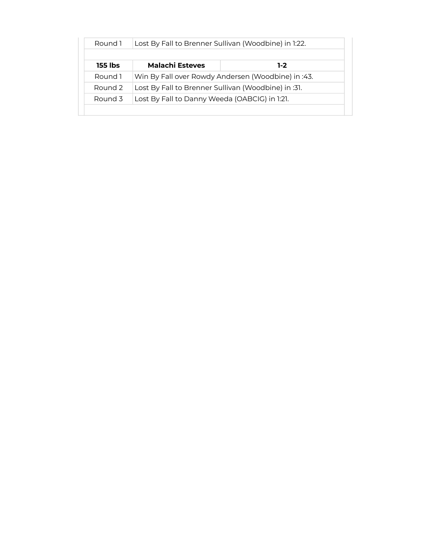| Round 1        | Lost By Fall to Brenner Sullivan (Woodbine) in 1:22. |                                                    |
|----------------|------------------------------------------------------|----------------------------------------------------|
| <b>155 lbs</b> | <b>Malachi Esteves</b>                               | 1-2                                                |
| Round 1        |                                                      | Win By Fall over Rowdy Andersen (Woodbine) in :43. |
| Round 2        | Lost By Fall to Brenner Sullivan (Woodbine) in :31.  |                                                    |
| Round 3        | Lost By Fall to Danny Weeda (OABCIG) in 1:21.        |                                                    |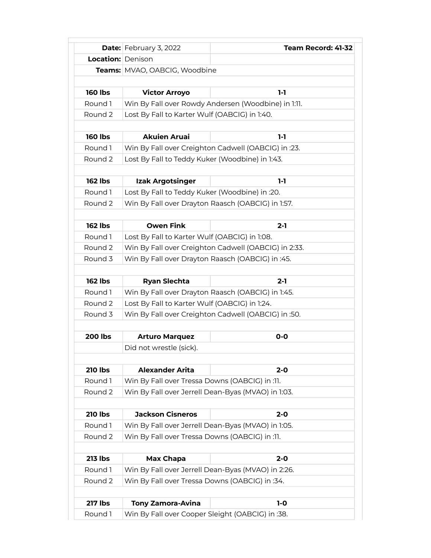|                   | <b>Date:</b> February 3, 2022                      | Team Record: 41-32                                   |
|-------------------|----------------------------------------------------|------------------------------------------------------|
| Location: Denison |                                                    |                                                      |
|                   | Teams: MVAO, OABCIG, Woodbine                      |                                                      |
|                   |                                                    |                                                      |
| <b>160 lbs</b>    | <b>Victor Arroyo</b>                               | $1-1$                                                |
| Round 1           |                                                    | Win By Fall over Rowdy Andersen (Woodbine) in 1:11.  |
| Round 2           | Lost By Fall to Karter Wulf (OABCIG) in 1:40.      |                                                      |
|                   |                                                    |                                                      |
| <b>160 lbs</b>    | <b>Akuien Aruai</b>                                | $1-1$                                                |
| Round 1           |                                                    | Win By Fall over Creighton Cadwell (OABCIG) in :23.  |
| Round 2           | Lost By Fall to Teddy Kuker (Woodbine) in 1:43.    |                                                      |
|                   |                                                    |                                                      |
| <b>162 lbs</b>    | Izak Argotsinger                                   | $1-1$                                                |
| Round 1           | Lost By Fall to Teddy Kuker (Woodbine) in :20.     |                                                      |
| Round 2           | Win By Fall over Drayton Raasch (OABCIG) in 1:57.  |                                                      |
|                   |                                                    |                                                      |
| <b>162 lbs</b>    | <b>Owen Fink</b>                                   | $2 - 1$                                              |
| Round 1           | Lost By Fall to Karter Wulf (OABCIG) in 1:08.      |                                                      |
| Round 2           |                                                    | Win By Fall over Creighton Cadwell (OABCIG) in 2:33. |
| Round 3           | Win By Fall over Drayton Raasch (OABCIG) in :45.   |                                                      |
|                   |                                                    |                                                      |
| <b>162 lbs</b>    | <b>Ryan Slechta</b>                                | 2-1                                                  |
| Round 1           | Win By Fall over Drayton Raasch (OABCIG) in 1:45.  |                                                      |
| Round 2           | Lost By Fall to Karter Wulf (OABCIG) in 1:24.      |                                                      |
| Round 3           |                                                    | Win By Fall over Creighton Cadwell (OABCIG) in :50.  |
|                   |                                                    |                                                      |
| <b>200 lbs</b>    | <b>Arturo Marquez</b>                              | $O-O$                                                |
|                   | Did not wrestle (sick).                            |                                                      |
|                   |                                                    |                                                      |
| <b>210 lbs</b>    | <b>Alexander Arita</b>                             | 2-0                                                  |
| Round 1           | Win By Fall over Tressa Downs (OABCIG) in :11.     |                                                      |
| Round 2           | Win By Fall over Jerrell Dean-Byas (MVAO) in 1:03. |                                                      |
|                   |                                                    |                                                      |
| <b>210 lbs</b>    | <b>Jackson Cisneros</b>                            | $2 - 0$                                              |
| Round 1           | Win By Fall over Jerrell Dean-Byas (MVAO) in 1:05. |                                                      |
| Round 2           | Win By Fall over Tressa Downs (OABCIG) in :11.     |                                                      |
|                   |                                                    |                                                      |
|                   |                                                    |                                                      |
| <b>213 lbs</b>    | Max Chapa                                          | $2 - 0$                                              |
| Round 1           |                                                    | Win By Fall over Jerrell Dean-Byas (MVAO) in 2:26.   |
| Round 2           | Win By Fall over Tressa Downs (OABCIG) in :34.     |                                                      |
| <b>217 lbs</b>    | <b>Tony Zamora-Avina</b>                           | $1-0$                                                |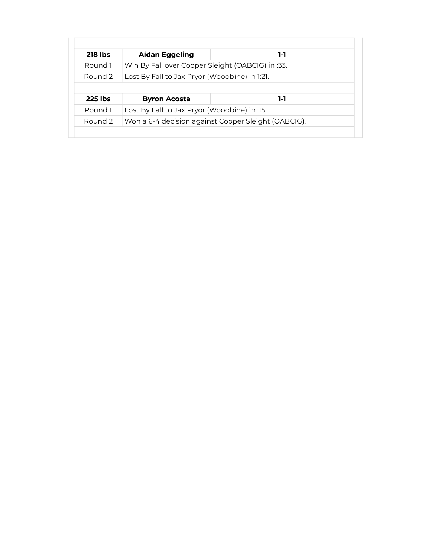| <b>218 lbs</b>            | <b>Aidan Eggeling</b>                            | 1-1 |
|---------------------------|--------------------------------------------------|-----|
| Round 1                   | Win By Fall over Cooper Sleight (OABCIG) in :33. |     |
| Round 2                   | Lost By Fall to Jax Pryor (Woodbine) in 1:21.    |     |
|                           |                                                  |     |
|                           |                                                  |     |
|                           | <b>Byron Acosta</b>                              | 1-1 |
| <b>225 lbs</b><br>Round 1 | Lost By Fall to Jax Pryor (Woodbine) in :15.     |     |